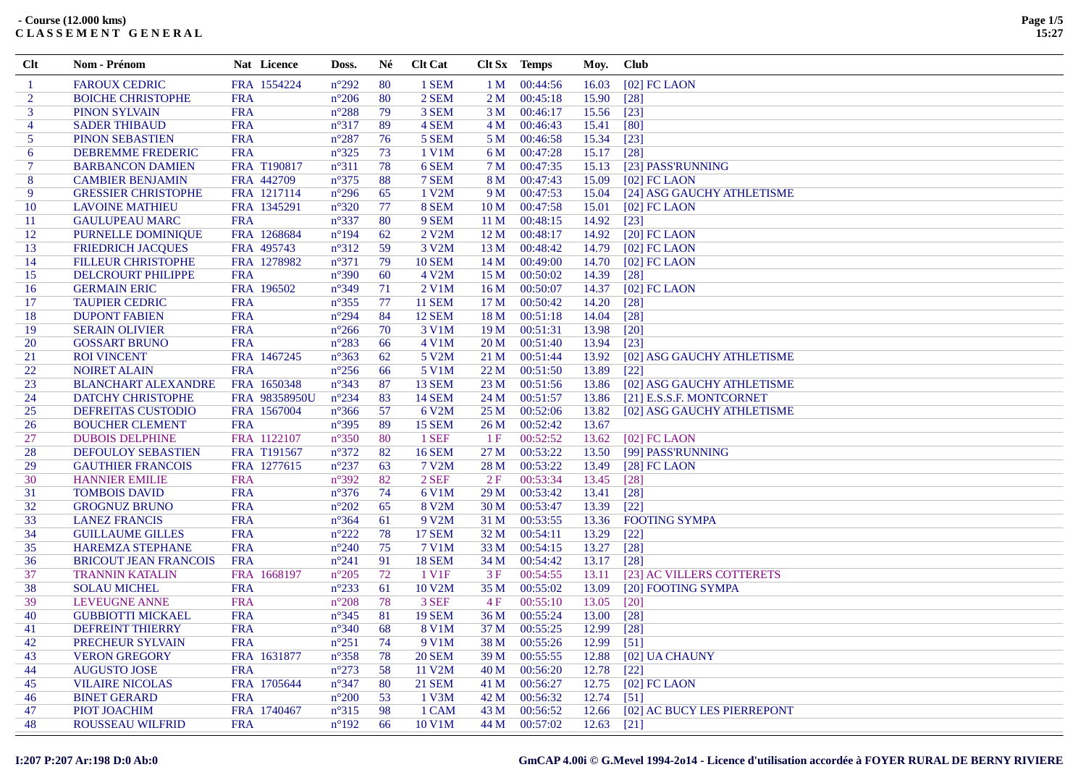| Clt            | Nom - Prénom                 |            | Nat Licence        | Doss.          | Né | <b>Clt Cat</b>     |                 | Clt Sx Temps  | Moy.  | <b>Club</b>                 |
|----------------|------------------------------|------------|--------------------|----------------|----|--------------------|-----------------|---------------|-------|-----------------------------|
| $\mathbf{1}$   | <b>FAROUX CEDRIC</b>         |            | FRA 1554224        | $n^{\circ}292$ | 80 | 1 SEM              | 1 <sub>M</sub>  | 00:44:56      | 16.03 | $[02]$ FC LAON              |
| 2              | <b>BOICHE CHRISTOPHE</b>     | <b>FRA</b> |                    | $n^{\circ}206$ | 80 | 2 SEM              | 2 M             | 00:45:18      | 15.90 | $\lceil 28 \rceil$          |
| 3              | <b>PINON SYLVAIN</b>         | <b>FRA</b> |                    | $n^{\circ}288$ | 79 | 3 SEM              | 3 M             | 00:46:17      | 15.56 | $\lceil 23 \rceil$          |
| $\overline{4}$ | <b>SADER THIBAUD</b>         | <b>FRA</b> |                    | $n^{\circ}317$ | 89 | 4 SEM              | 4 M             | 00:46:43      | 15.41 | [80]                        |
| 5              | <b>PINON SEBASTIEN</b>       | <b>FRA</b> |                    | $n^{\circ}287$ | 76 | 5 SEM              | 5 M             | 00:46:58      | 15.34 | $\lceil 23 \rceil$          |
| 6              | <b>DEBREMME FREDERIC</b>     | <b>FRA</b> |                    | $n^{\circ}325$ | 73 | 1 V1M              | 6 M             | 00:47:28      | 15.17 | $\lceil 28 \rceil$          |
| 7              | <b>BARBANCON DAMIEN</b>      |            | <b>FRA T190817</b> | $n^{\circ}311$ | 78 | 6 SEM              | 7 M             | 00:47:35      | 15.13 | [23] PASS'RUNNING           |
| 8              | <b>CAMBIER BENJAMIN</b>      | FRA 442709 |                    | $n^{\circ}375$ | 88 | 7 SEM              | 8 M             | 00:47:43      | 15.09 | $[02]$ FC LAON              |
| 9              | <b>GRESSIER CHRISTOPHE</b>   |            | FRA 1217114        | $n^{\circ}296$ | 65 | $1$ V2M            | 9 M             | 00:47:53      | 15.04 | [24] ASG GAUCHY ATHLETISME  |
| 10             | <b>LAVOINE MATHIEU</b>       |            | FRA 1345291        | $n^{\circ}320$ | 77 | 8 SEM              | 10 <sub>M</sub> | 00:47:58      | 15.01 | $[02]$ FC LAON              |
| 11             | <b>GAULUPEAU MARC</b>        | <b>FRA</b> |                    | $n^{\circ}337$ | 80 | 9 SEM              | 11 <sub>M</sub> | 00:48:15      | 14.92 | $[23]$                      |
| 12             | PURNELLE DOMINIQUE           |            | FRA 1268684        | $n^{\circ}194$ | 62 | 2 V2M              | 12 <sub>M</sub> | 00:48:17      | 14.92 | $[20]$ FC LAON              |
| 13             | <b>FRIEDRICH JACQUES</b>     | FRA 495743 |                    | $n^{\circ}312$ | 59 | 3 V2M              | 13M             | 00:48:42      | 14.79 | $[02]$ FC LAON              |
| 14             | <b>FILLEUR CHRISTOPHE</b>    |            | FRA 1278982        | $n^{\circ}371$ | 79 | <b>10 SEM</b>      | 14M             | 00:49:00      | 14.70 | $[02]$ FC LAON              |
| 15             | DELCROURT PHILIPPE           | <b>FRA</b> |                    | $n^{\circ}390$ | 60 | 4 V2M              | 15 <sub>M</sub> | 00:50:02      | 14.39 | $[28]$                      |
| 16             | <b>GERMAIN ERIC</b>          | FRA 196502 |                    | $n^{\circ}349$ | 71 | $2$ V1M            | 16M             | 00:50:07      | 14.37 | $[02]$ FC LAON              |
| 17             | <b>TAUPIER CEDRIC</b>        | <b>FRA</b> |                    | $n^{\circ}355$ | 77 | <b>11 SEM</b>      | 17 <sub>M</sub> | 00:50:42      | 14.20 | $\lceil 28 \rceil$          |
| 18             | <b>DUPONT FABIEN</b>         | <b>FRA</b> |                    | $n^{\circ}294$ | 84 | <b>12 SEM</b>      | 18 <sub>M</sub> | 00:51:18      | 14.04 | $[28]$                      |
| 19             | <b>SERAIN OLIVIER</b>        | <b>FRA</b> |                    | $n^{\circ}266$ | 70 | 3 V1M              | 19 M            | 00:51:31      | 13.98 | $\lceil 20 \rceil$          |
| 20             | <b>GOSSART BRUNO</b>         | <b>FRA</b> |                    | $n^{\circ}283$ | 66 | 4 V1M              | 20 <sub>M</sub> | 00:51:40      | 13.94 | $\lceil 23 \rceil$          |
| 21             | <b>ROI VINCENT</b>           |            | FRA 1467245        | $n^{\circ}363$ | 62 | 5 V2M              | 21 M            | 00:51:44      | 13.92 | [02] ASG GAUCHY ATHLETISME  |
| 22             | <b>NOIRET ALAIN</b>          | <b>FRA</b> |                    | $n^{\circ}256$ | 66 | 5 V1M              | 22 M            | 00:51:50      | 13.89 | $\lceil 22 \rceil$          |
| 23             | <b>BLANCHART ALEXANDRE</b>   |            | FRA 1650348        | $n^{\circ}343$ | 87 | <b>13 SEM</b>      | 23 M            | 00:51:56      | 13.86 | [02] ASG GAUCHY ATHLETISME  |
| 24             | <b>DATCHY CHRISTOPHE</b>     |            | FRA 98358950U      | $n^{\circ}234$ | 83 | <b>14 SEM</b>      | 24 M            | 00:51:57      | 13.86 | [21] E.S.S.F. MONTCORNET    |
| 25             | <b>DEFREITAS CUSTODIO</b>    |            | FRA 1567004        | $n^{\circ}366$ | 57 | 6 V2M              | 25 M            | 00:52:06      | 13.82 | [02] ASG GAUCHY ATHLETISME  |
| 26             | <b>BOUCHER CLEMENT</b>       | <b>FRA</b> |                    | $n^{\circ}395$ | 89 | <b>15 SEM</b>      | 26 M            | 00:52:42      | 13.67 |                             |
| 27             | <b>DUBOIS DELPHINE</b>       |            | FRA 1122107        | $n^{\circ}350$ | 80 | 1 SEF              | 1F              | 00:52:52      | 13.62 | $[02]$ FC LAON              |
| 28             | <b>DEFOULOY SEBASTIEN</b>    |            | FRA T191567        | $n^{\circ}372$ | 82 | <b>16 SEM</b>      | 27 M            | 00:53:22      | 13.50 | [99] PASS'RUNNING           |
| 29             | <b>GAUTHIER FRANCOIS</b>     |            | FRA 1277615        | $n^{\circ}237$ | 63 | 7 V2M              | 28 M            | 00:53:22      | 13.49 | $[28]$ FC LAON              |
| 30             | <b>HANNIER EMILIE</b>        | <b>FRA</b> |                    | $n^{\circ}392$ | 82 | 2 SEF              | 2F              | 00:53:34      | 13.45 | $\lceil 28 \rceil$          |
| 31             | <b>TOMBOIS DAVID</b>         | <b>FRA</b> |                    | $n^{\circ}376$ | 74 | 6 V1M              | 29 <sub>M</sub> | 00:53:42      | 13.41 | $[28]$                      |
| 32             | <b>GROGNUZ BRUNO</b>         | <b>FRA</b> |                    | $n^{\circ}202$ | 65 | 8 V2M              | 30 M            | 00:53:47      | 13.39 | $[22]$                      |
| 33             | <b>LANEZ FRANCIS</b>         | <b>FRA</b> |                    | $n^{\circ}364$ | 61 | 9 V2M              | 31 M            | 00:53:55      | 13.36 | <b>FOOTING SYMPA</b>        |
| 34             | <b>GUILLAUME GILLES</b>      | <b>FRA</b> |                    | $n^{\circ}222$ | 78 | <b>17 SEM</b>      | 32 <sub>M</sub> | 00:54:11      | 13.29 | $[22]$                      |
| 35             | <b>HAREMZA STEPHANE</b>      | <b>FRA</b> |                    | $n^{\circ}240$ | 75 | 7 V1M              | 33 M            | 00:54:15      | 13.27 | $[28]$                      |
| 36             | <b>BRICOUT JEAN FRANCOIS</b> | <b>FRA</b> |                    | $n^{\circ}241$ | 91 | <b>18 SEM</b>      | 34 M            | 00:54:42      | 13.17 | $[28]$                      |
| 37             | <b>TRANNIN KATALIN</b>       |            | FRA 1668197        | $n^{\circ}205$ | 72 | 1 V <sub>1</sub> F | 3F              | 00:54:55      | 13.11 | [23] AC VILLERS COTTERETS   |
| 38             | <b>SOLAU MICHEL</b>          | <b>FRA</b> |                    | $n^{\circ}233$ | 61 | 10 V2M             | 35 M            | 00:55:02      | 13.09 | [20] FOOTING SYMPA          |
| 39             | <b>LEVEUGNE ANNE</b>         | <b>FRA</b> |                    | $n^{\circ}208$ | 78 | 3 SEF              | 4 F             | 00:55:10      | 13.05 | $\lceil 20 \rceil$          |
| 40             | <b>GUBBIOTTI MICKAEL</b>     | <b>FRA</b> |                    | $n^{\circ}345$ | 81 | <b>19 SEM</b>      | 36 M            | 00:55:24      | 13.00 | [28]                        |
| 41             | <b>DEFREINT THIERRY</b>      | <b>FRA</b> |                    | $n^{\circ}340$ | 68 | 8 V1M              | 37 M            | 00:55:25      | 12.99 | $\lceil 28 \rceil$          |
| 42             | PRECHEUR SYLVAIN             | <b>FRA</b> |                    | $n^{\circ}251$ | 74 | 9 V1M              | 38 M            | 00:55:26      | 12.99 | [51]                        |
| 43             | <b>VERON GREGORY</b>         |            | FRA 1631877        | $n^{\circ}358$ | 78 | <b>20 SEM</b>      | 39 M            | 00:55:55      | 12.88 | [02] UA CHAUNY              |
| 44             | <b>AUGUSTO JOSE</b>          | <b>FRA</b> |                    | $n^{\circ}273$ | 58 | 11 V2M             | 40 M            | 00:56:20      | 12.78 | $[22]$                      |
| 45             | <b>VILAIRE NICOLAS</b>       |            | FRA 1705644        | $n^{\circ}347$ | 80 | <b>21 SEM</b>      | 41 M            | 00:56:27      | 12.75 | $[02]$ FC LAON              |
| 46             | <b>BINET GERARD</b>          | <b>FRA</b> |                    | $n^{\circ}200$ | 53 | $1$ V3M            | 42 M            | 00:56:32      | 12.74 | [51]                        |
| 47             | PIOT JOACHIM                 |            | FRA 1740467        | $n^{\circ}315$ | 98 | 1 CAM              | 43 M            | 00:56:52      | 12.66 | [02] AC BUCY LES PIERREPONT |
| 48             | <b>ROUSSEAU WILFRID</b>      | <b>FRA</b> |                    | $n^{\circ}192$ | 66 | 10 V1M             |                 | 44 M 00:57:02 | 12.63 | $\lceil 21 \rceil$          |

## GmCAP 4.00i © G.Mevel 1994-2014 - Licence d'utilisation accordée à FOYER RURAL DE BERNY RIVIERE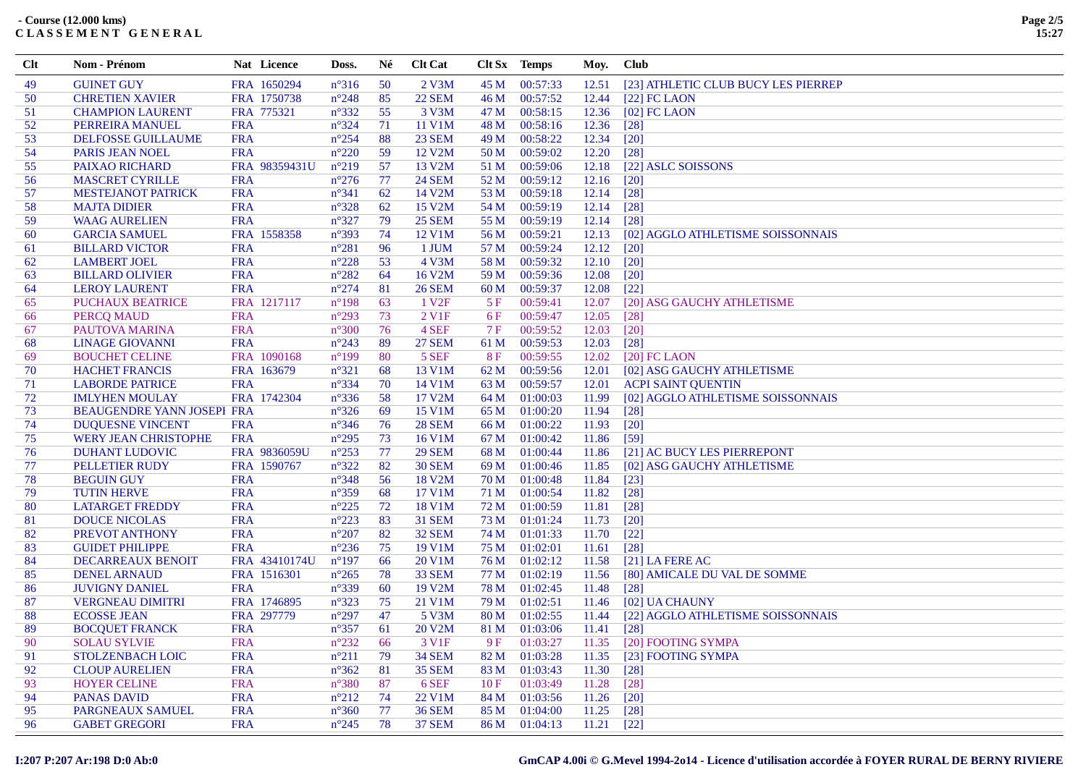| Clt      | Nom - Prénom                                     | Nat Licence               | Doss.                            | Né       | <b>Clt Cat</b>    |              | Clt Sx Temps         | Moy.           | <b>Club</b>                                         |
|----------|--------------------------------------------------|---------------------------|----------------------------------|----------|-------------------|--------------|----------------------|----------------|-----------------------------------------------------|
| 49       | <b>GUINET GUY</b>                                | FRA 1650294               | $n^{\circ}316$                   | 50       | $2$ V $3M$        | 45 M         | 00:57:33             | 12.51          | [23] ATHLETIC CLUB BUCY LES PIERREP                 |
| 50       | <b>CHRETIEN XAVIER</b>                           | FRA 1750738               | $n^{\circ}248$                   | 85       | <b>22 SEM</b>     | 46 M         | 00:57:52             | 12.44          | $[22]$ FC LAON                                      |
| 51       | <b>CHAMPION LAURENT</b>                          | FRA 775321                | $n^{\circ}332$                   | 55       | 3 V3M             | 47 M         | 00:58:15             | 12.36          | $[02]$ FC LAON                                      |
| 52       | PERREIRA MANUEL                                  | <b>FRA</b>                | $n^{\circ}324$                   | 71       | 11 V1M            | 48 M         | 00:58:16             | 12.36          | $\lceil 28 \rceil$                                  |
| 53       | DELFOSSE GUILLAUME                               | <b>FRA</b>                | $n^{\circ}254$                   | 88       | <b>23 SEM</b>     | 49 M         | 00:58:22             | 12.34          | $\lceil 20 \rceil$                                  |
| 54       | PARIS JEAN NOEL                                  | <b>FRA</b>                | $n^{\circ}220$                   | 59       | 12 V2M            | 50 M         | 00:59:02             | 12.20          | $\lceil 28 \rceil$                                  |
| 55       | PAIXAO RICHARD                                   | FRA 98359431U             | $n^{\circ}219$                   | 57       | 13 V2M            | 51 M         | 00:59:06             | 12.18          | [22] ASLC SOISSONS                                  |
| 56       | <b>MASCRET CYRILLE</b>                           | <b>FRA</b>                | $n^{\circ}276$                   | 77       | <b>24 SEM</b>     | 52 M         | 00:59:12             | 12.16          | $\lceil 20 \rceil$                                  |
| 57       | <b>MESTEJANOT PATRICK</b>                        | <b>FRA</b>                | $n^{\circ}341$                   | 62       | 14 V2M            | 53 M         | 00:59:18             | 12.14          | $\lceil 28 \rceil$                                  |
| 58       | <b>MAJTA DIDIER</b>                              | <b>FRA</b>                | $n^{\circ}328$                   | 62       | 15 V2M            | 54 M         | 00:59:19             | 12.14          | $[28]$                                              |
| 59       | <b>WAAG AURELIEN</b>                             | <b>FRA</b>                | $n^{\circ}327$                   | 79       | <b>25 SEM</b>     | 55 M         | 00:59:19             | 12.14          | $\lceil 28 \rceil$                                  |
| 60       | <b>GARCIA SAMUEL</b>                             | FRA 1558358               | $n^{\circ}393$                   | 74       | 12 V1M            | 56 M         | 00:59:21             | 12.13          | [02] AGGLO ATHLETISME SOISSONNAIS                   |
| 61       | <b>BILLARD VICTOR</b>                            | <b>FRA</b>                | $n^{\circ}281$                   | 96       | 1 JUM             | 57 M         | 00:59:24             | 12.12          | $\lceil 20 \rceil$                                  |
| 62       | <b>LAMBERT JOEL</b>                              | <b>FRA</b>                | $n^{\circ}228$                   | 53       | 4 V3M             | 58 M         | 00:59:32             | 12.10          | $[20]$                                              |
| 63       | <b>BILLARD OLIVIER</b>                           | <b>FRA</b>                | $n^{\circ}282$                   | 64       | 16 V2M            | 59 M         | 00:59:36             | 12.08          | $[20]$                                              |
| 64       | <b>LEROY LAURENT</b>                             | <b>FRA</b>                | $n^{\circ}274$                   | 81       | <b>26 SEM</b>     | 60 M         | 00:59:37             | 12.08          | $[22]$                                              |
| 65       | PUCHAUX BEATRICE                                 | FRA 1217117               | $n^{\circ}198$                   | 63       | 1 V <sub>2F</sub> | 5F           | 00:59:41             | 12.07          | [20] ASG GAUCHY ATHLETISME                          |
| 66       | PERCQ MAUD                                       | <b>FRA</b>                | $n^{\circ}293$                   | 73       | 2 V <sub>1F</sub> | 6F           | 00:59:47             | 12.05          | $\lceil 28 \rceil$                                  |
| 67       | PAUTOVA MARINA                                   | <b>FRA</b>                | $n^{\circ}300$                   | 76       | 4 SEF             | 7F           | 00:59:52             | 12.03          | $[20]$                                              |
| 68       | <b>LINAGE GIOVANNI</b>                           | <b>FRA</b>                | $n^{\circ}243$                   | 89       | <b>27 SEM</b>     | 61 M         | 00:59:53             | 12.03          | $[28]$                                              |
| 69       | <b>BOUCHET CELINE</b>                            | FRA 1090168               | $n^{\circ}199$                   | 80       | 5 SEF             | 8F           | 00:59:55             | 12.02          | $[20]$ FC LAON                                      |
| 70       | <b>HACHET FRANCIS</b>                            | FRA 163679                | $n^{\circ}321$                   | 68       | 13 V1M            | 62 M         | 00:59:56             | 12.01          | [02] ASG GAUCHY ATHLETISME                          |
| 71       | <b>LABORDE PATRICE</b>                           | <b>FRA</b>                | $n^{\circ}334$                   | 70       | 14 V1M            | 63 M         | 00:59:57             | 12.01          | <b>ACPI SAINT QUENTIN</b>                           |
| 72       | <b>IMLYHEN MOULAY</b>                            | FRA 1742304               | $n^{\circ}336$                   | 58       | 17 V2M            | 64 M         | 01:00:03             | 11.99          | [02] AGGLO ATHLETISME SOISSONNAIS                   |
| 73       | BEAUGENDRE YANN JOSEPI FRA                       |                           | $n^{\circ}326$                   | 69       | 15 V1M            | 65 M         | 01:00:20             | 11.94          | $\lceil 28 \rceil$                                  |
| 74       | <b>DUQUESNE VINCENT</b>                          | <b>FRA</b>                | $n^{\circ}346$                   | 76       | <b>28 SEM</b>     | 66 M         | 01:00:22             | 11.93          | $[20]$                                              |
| 75       | WERY JEAN CHRISTOPHE                             | <b>FRA</b>                | $n^{\circ}295$                   | 73       | 16 V1M            | 67 M         | 01:00:42             | 11.86          | $[59]$                                              |
| 76       | <b>DUHANT LUDOVIC</b>                            | FRA 9836059U              | $n^{\circ}253$                   | 77       | <b>29 SEM</b>     | 68 M         | 01:00:44             | 11.86          | [21] AC BUCY LES PIERREPONT                         |
| 77       | PELLETIER RUDY                                   | FRA 1590767               | $n^{\circ}322$                   | 82       | <b>30 SEM</b>     | 69 M         | 01:00:46             | 11.85          | [02] ASG GAUCHY ATHLETISME                          |
| 78       | <b>BEGUIN GUY</b>                                | <b>FRA</b>                | $n^{\circ}348$                   | 56       | 18 V2M            | 70 M         | 01:00:48             | 11.84          | $\lceil 23 \rceil$                                  |
| 79       | <b>TUTIN HERVE</b>                               | <b>FRA</b>                | $n^{\circ}359$                   | 68       | 17 V1M            | 71 M         | 01:00:54             | 11.82          | $\lceil 28 \rceil$                                  |
| 80       | <b>LATARGET FREDDY</b>                           | <b>FRA</b>                | $n^{\circ}225$                   | 72       | 18 V1M            | 72 M         | 01:00:59             | 11.81          | $[28]$                                              |
| 81       | <b>DOUCE NICOLAS</b>                             | <b>FRA</b>                | $n^{\circ}223$                   | 83       | <b>31 SEM</b>     | 73 M         | 01:01:24             | 11.73          | $[20]$                                              |
| 82       | PREVOT ANTHONY                                   | <b>FRA</b>                | $n^{\circ}207$                   | 82       | <b>32 SEM</b>     | 74 M         | 01:01:33             | 11.70          | $[22]$                                              |
| 83       | <b>GUIDET PHILIPPE</b>                           | <b>FRA</b>                | $n^{\circ}236$                   | 75       | 19 V1M            | 75 M         | 01:02:01             | 11.61          | [28]                                                |
| 84       | <b>DECARREAUX BENOIT</b>                         | FRA 43410174U             | $n^{\circ}197$                   | 66       | 20 V1M            | 76 M         | 01:02:12             | 11.58          | $[21]$ LA FERE AC                                   |
| 85       | <b>DENEL ARNAUD</b>                              | FRA 1516301               | $n^{\circ}265$                   | 78       | <b>33 SEM</b>     | 77 M         | 01:02:19             | 11.56          | [80] AMICALE DU VAL DE SOMME                        |
| 86<br>87 | <b>JUVIGNY DANIEL</b><br><b>VERGNEAU DIMITRI</b> | <b>FRA</b><br>FRA 1746895 | $n^{\circ}339$<br>$n^{\circ}323$ | 60<br>75 | 19 V2M<br>21 V1M  | 78 M<br>79 M | 01:02:45<br>01:02:51 | 11.48<br>11.46 | $[28]$                                              |
| 88       | <b>ECOSSE JEAN</b>                               | FRA 297779                | $n^{\circ}297$                   | 47       | 5 V3M             | 80 M         | 01:02:55             | 11.44          | [02] UA CHAUNY<br>[22] AGGLO ATHLETISME SOISSONNAIS |
| 89       | <b>BOCQUET FRANCK</b>                            | <b>FRA</b>                | $n^{\circ}357$                   | 61       | 20 V2M            | 81 M         | 01:03:06             | 11.41          | $[28]$                                              |
| 90       | <b>SOLAU SYLVIE</b>                              | <b>FRA</b>                | $n^{\circ}232$                   | 66       | 3 V1F             | 9F           | 01:03:27             | 11.35          | [20] FOOTING SYMPA                                  |
| 91       | <b>STOLZENBACH LOIC</b>                          | <b>FRA</b>                | $n^{\circ}211$                   | 79       | <b>34 SEM</b>     | 82 M         | 01:03:28             | 11.35          | [23] FOOTING SYMPA                                  |
| 92       | <b>CLOUP AURELIEN</b>                            | <b>FRA</b>                | $n^{\circ}362$                   | 81       | <b>35 SEM</b>     | 83 M         | 01:03:43             | 11.30          | $[28]$                                              |
| 93       | <b>HOYER CELINE</b>                              | <b>FRA</b>                | $n^{\circ}380$                   | 87       | 6 SEF             | 10F          | 01:03:49             | 11.28          | $[28]$                                              |
| 94       | <b>PANAS DAVID</b>                               | <b>FRA</b>                | $n^{\circ}212$                   | 74       | 22 V1M            | 84 M         | 01:03:56             | 11.26          | $[20]$                                              |
| 95       | PARGNEAUX SAMUEL                                 | <b>FRA</b>                | $n^{\circ}360$                   | 77       | <b>36 SEM</b>     | 85 M         | 01:04:00             | 11.25          | $[28]$                                              |
| 96       | <b>GABET GREGORI</b>                             | <b>FRA</b>                | $n^{\circ}245$                   | 78       | <b>37 SEM</b>     | 86 M         | 01:04:13             | 11.21          | $[22]$                                              |
|          |                                                  |                           |                                  |          |                   |              |                      |                |                                                     |

## **GmCAP 4.00i © G.Mevel 1994-2o14 - Licence d'utilisation accordée à FOYER RURAL DE BERNY RIVIERE**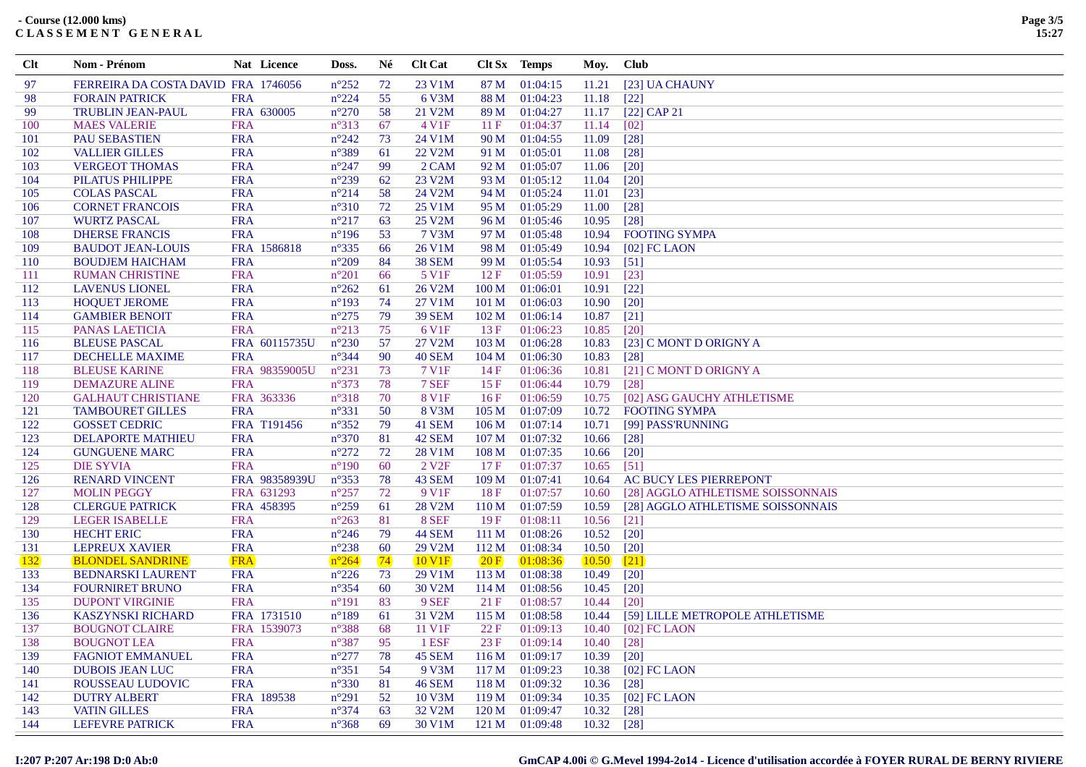| <b>Clt</b>     | <b>Nom - Prénom</b>                        |            | Nat Licence   | Doss.                            | Né          | <b>Clt Cat</b>      |                          | Clt Sx Temps         | Moy.           | <b>Club</b>                       |
|----------------|--------------------------------------------|------------|---------------|----------------------------------|-------------|---------------------|--------------------------|----------------------|----------------|-----------------------------------|
| 97             | FERREIRA DA COSTA DAVID FRA 1746056        |            |               | $n^{\circ}252$                   | 72          | 23 V1M              | 87 M                     | 01:04:15             | 11.21          | [23] UA CHAUNY                    |
| 98             | <b>FORAIN PATRICK</b>                      | <b>FRA</b> |               | $n^{\circ}224$                   | 55          | 6 V3M               | 88 M                     | 01:04:23             | 11.18          | $[22]$                            |
| 99             | <b>TRUBLIN JEAN-PAUL</b>                   |            | FRA 630005    | $n^{\circ}270$                   | 58          | 21 V2M              | 89 M                     | 01:04:27             | 11.17          | $[22]$ CAP 21                     |
| 100            | <b>MAES VALERIE</b>                        | <b>FRA</b> |               | $n^{\circ}313$                   | 67          | 4 V1F               | 11F                      | 01:04:37             | 11.14          | $\lceil 02 \rceil$                |
| 101            | <b>PAU SEBASTIEN</b>                       | <b>FRA</b> |               | $n^{\circ}242$                   | 73          | 24 V1M              | 90 M                     | 01:04:55             | 11.09          | $[28]$                            |
| 102            | <b>VALLIER GILLES</b>                      | <b>FRA</b> |               | $n^{\circ}389$                   | 61          | 22 V2M              | 91 M                     | 01:05:01             | 11.08          | $\lceil 28 \rceil$                |
| 103            | <b>VERGEOT THOMAS</b>                      | <b>FRA</b> |               | $n^{\circ}247$                   | 99          | 2 CAM               | 92 M                     | 01:05:07             | 11.06          | $\lceil 20 \rceil$                |
| 104            | PILATUS PHILIPPE                           | <b>FRA</b> |               | $n^{\circ}239$                   | 62          | 23 V2M              | 93 M                     | 01:05:12             | 11.04          | $[20]$                            |
| 105            | <b>COLAS PASCAL</b>                        | <b>FRA</b> |               | $n^{\circ}214$                   | 58          | 24 V2M              | 94 M                     | 01:05:24             | 11.01          | $[23]$                            |
| 106            | <b>CORNET FRANCOIS</b>                     | <b>FRA</b> |               | $n^{\circ}310$                   | 72          | 25 V1M              | 95 M                     | 01:05:29             | 11.00          | $[28]$                            |
| 107            | <b>WURTZ PASCAL</b>                        | <b>FRA</b> |               | $n^{\circ}217$                   | 63          | 25 V2M              | 96 M                     | 01:05:46             | 10.95          | $[28]$                            |
| 108            | <b>DHERSE FRANCIS</b>                      | <b>FRA</b> |               | $n^{\circ}196$                   | 53          | 7 V3M               | 97 M                     | 01:05:48             | 10.94          | <b>FOOTING SYMPA</b>              |
| 109            | <b>BAUDOT JEAN-LOUIS</b>                   |            | FRA 1586818   | $n^{\circ}335$                   | 66          | 26 V1M              | 98 M                     | 01:05:49             | 10.94          | $[02]$ FC LAON                    |
| <sup>110</sup> | <b>BOUDJEM HAICHAM</b>                     | <b>FRA</b> |               | $n^{\circ}209$                   | 84          | <b>38 SEM</b>       | 99 M                     | 01:05:54             | 10.93          | $[51]$                            |
| <sup>111</sup> | <b>RUMAN CHRISTINE</b>                     | <b>FRA</b> |               | $n^{\circ}201$                   | 66          | 5 V <sub>1F</sub>   | 12F                      | 01:05:59             | 10.91          | $[23]$                            |
| 112            | <b>LAVENUS LIONEL</b>                      | <b>FRA</b> |               | $n^{\circ}262$                   | 61          | 26 V2M              | 100 M                    | 01:06:01             | 10.91          | $[22]$                            |
| 113            | <b>HOQUET JEROME</b>                       | <b>FRA</b> |               | $n^{\circ}193$                   | 74          | 27 V1M              | 101 M                    | 01:06:03             | 10.90          | $[20]$                            |
| 114            | <b>GAMBIER BENOIT</b>                      | <b>FRA</b> |               | $n^{\circ}275$                   | 79          | <b>39 SEM</b>       | 102 M                    | 01:06:14             | 10.87          | $\left[21\right]$                 |
| 115            | PANAS LAETICIA                             | <b>FRA</b> |               | $n^{\circ}213$                   | 75          | 6 V <sub>1F</sub>   | 13F                      | 01:06:23             | 10.85          | $[20]$                            |
| 116            | <b>BLEUSE PASCAL</b>                       |            | FRA 60115735U | $n^{\circ}230$                   | 57          | 27 V2M              | 103 M                    | 01:06:28             | 10.83          | [23] C MONT D ORIGNY A            |
| 117            | <b>DECHELLE MAXIME</b>                     | <b>FRA</b> |               | $n^{\circ}344$                   | 90          | <b>40 SEM</b>       | 104 <sub>M</sub>         | 01:06:30             | 10.83          | $\lceil 28 \rceil$                |
| 118            | <b>BLEUSE KARINE</b>                       |            | FRA 98359005U | $n^{\circ}231$                   | 73          | 7 V1F               | 14F                      | 01:06:36             | 10.81          | [21] C MONT D ORIGNY A            |
| 119            | <b>DEMAZURE ALINE</b>                      | <b>FRA</b> |               | $n^{\circ}373$                   | 78          | 7 SEF               | 15F                      | 01:06:44             | 10.79          | $\lceil 28 \rceil$                |
| 120            | <b>GALHAUT CHRISTIANE</b>                  |            | FRA 363336    | $n^{\circ}318$                   | 70          | <b>8 V1F</b>        | 16F                      | 01:06:59             | 10.75          | [02] ASG GAUCHY ATHLETISME        |
| 121            | <b>TAMBOURET GILLES</b>                    | <b>FRA</b> |               | $n^{\circ}331$                   | 50          | 8 V3M               | 105 <sub>M</sub>         | 01:07:09             |                | 10.72 FOOTING SYMPA               |
| 122            | <b>GOSSET CEDRIC</b>                       |            | FRA T191456   | $n^{\circ}352$                   | 79          | 41 SEM              | 106 M                    | 01:07:14             | 10.71          | [99] PASS'RUNNING                 |
| 123            | <b>DELAPORTE MATHIEU</b>                   | <b>FRA</b> |               | $n^{\circ}370$                   | 81          | 42 SEM              | 107 <sub>M</sub>         | 01:07:32             | 10.66          | $\lceil 28 \rceil$                |
| 124            | <b>GUNGUENE MARC</b>                       | <b>FRA</b> |               | $n^{\circ}272$                   | 72          | 28 V1M              | 108 <sub>M</sub>         | 01:07:35             | 10.66          | $[20]$                            |
| 125            | <b>DIE SYVIA</b>                           | <b>FRA</b> |               | $n^{\circ}190$                   | 60          | 2 V <sub>2F</sub>   | 17F                      | 01:07:37             | 10.65          | $\lceil 51 \rceil$                |
| 126            | <b>RENARD VINCENT</b>                      |            | FRA 98358939U | $n^{\circ}353$                   | 78          | 43 SEM              | 109 <sub>M</sub>         | 01:07:41             | 10.64          | AC BUCY LES PIERREPONT            |
| 127            | <b>MOLIN PEGGY</b>                         |            | FRA 631293    | $n^{\circ}257$                   | 72          | 9 V <sub>1F</sub>   | 18F                      | 01:07:57             | 10.60          | [28] AGGLO ATHLETISME SOISSONNAIS |
| 128            | <b>CLERGUE PATRICK</b>                     |            | FRA 458395    | $n^{\circ}259$                   | 61          | 28 V <sub>2</sub> M | 110 <sub>M</sub>         | 01:07:59             | 10.59          | [28] AGGLO ATHLETISME SOISSONNAIS |
| 129            | <b>LEGER ISABELLE</b>                      | <b>FRA</b> |               | $n^{\circ}263$                   | 81          | 8 SEF               | 19F                      | 01:08:11             | 10.56          | $\lceil 21 \rceil$                |
| 130            | <b>HECHT ERIC</b>                          | <b>FRA</b> |               | $n^{\circ}246$                   | 79          | <b>44 SEM</b>       | 111 M                    | 01:08:26             | 10.52          | $[20]$                            |
| 131            | <b>LEPREUX XAVIER</b>                      | <b>FRA</b> |               | $n^{\circ}238$                   | 60          | 29 V2M              | 112M                     | 01:08:34             | 10.50          | $\lceil 20 \rceil$                |
| <b>132</b>     | <b>BLONDEL SANDRINE</b>                    | <b>FRA</b> |               | $n^{\circ}264$                   | $\sqrt{74}$ | 10 V <sub>1F</sub>  | 20 F                     | [01:08:36]           | 10.50          | [21]                              |
| 133            | <b>BEDNARSKI LAURENT</b>                   | <b>FRA</b> |               | $n^{\circ}226$                   | 73          | 29 V1M              | 113M                     | 01:08:38             | 10.49          | $\lceil 20 \rceil$                |
| 134            | <b>FOURNIRET BRUNO</b>                     | <b>FRA</b> |               | $n^{\circ}354$                   | 60          | 30 V2M              | 114M                     | 01:08:56             | 10.45          | $[20]$                            |
| 135            | <b>DUPONT VIRGINIE</b>                     | <b>FRA</b> |               | $n^{\circ}191$                   | 83          | 9 SEF               | 21F                      | 01:08:57             | 10.44          | $\lceil 20 \rceil$                |
| 136            | <b>KASZYNSKI RICHARD</b>                   |            | FRA 1731510   | $n^{\circ}189$                   | 61          | 31 V2M              | 115M                     | 01:08:58             | 10.44          | [59] LILLE METROPOLE ATHLETISME   |
| 137            | <b>BOUGNOT CLAIRE</b>                      |            | FRA 1539073   | $n^{\circ}388$                   | 68          | 11 V1F              | 22 F                     | 01:09:13             | 10.40          | $[02]$ FC LAON                    |
| 138            | <b>BOUGNOT LEA</b>                         | <b>FRA</b> |               | $n^{\circ}387$                   | 95          | 1 ESF               | 23 F                     | 01:09:14             | 10.40          | $[28]$                            |
| 139            | <b>FAGNIOT EMMANUEL</b>                    | <b>FRA</b> |               | $n^{\circ}277$                   | 78          | <b>45 SEM</b>       | 116M                     | 01:09:17             | 10.39          | $\lceil 20 \rceil$                |
| 140            | <b>DUBOIS JEAN LUC</b>                     | <b>FRA</b> |               | $n^{\circ}351$                   | 54          | 9 V3M               | 117 <sub>M</sub>         | 01:09:23             | 10.38          | $[02]$ FC LAON                    |
| 141            | ROUSSEAU LUDOVIC                           | <b>FRA</b> |               | $n^{\circ}330$                   | 81          | <b>46 SEM</b>       | 118M                     | 01:09:32             | 10.36          | $[28]$                            |
| 142            | <b>DUTRY ALBERT</b><br><b>VATIN GILLES</b> | <b>FRA</b> | FRA 189538    | $n^{\circ}291$<br>$n^{\circ}374$ | 52<br>63    | 10 V3M<br>32 V2M    | 119M<br>120 <sub>M</sub> | 01:09:34<br>01:09:47 | 10.35<br>10.32 | $[02]$ FC LAON                    |
| 143<br>144     |                                            | <b>FRA</b> |               | $n^{\circ}368$                   | 69          | 30 V1M              | 121 M                    | 01:09:48             |                | $[28]$                            |
|                | <b>LEFEVRE PATRICK</b>                     |            |               |                                  |             |                     |                          |                      | 10.32          | $[28]$                            |

## GmCAP 4.00i © G.Mevel 1994-2014 - Licence d'utilisation accordée à FOYER RURAL DE BERNY RIVIERE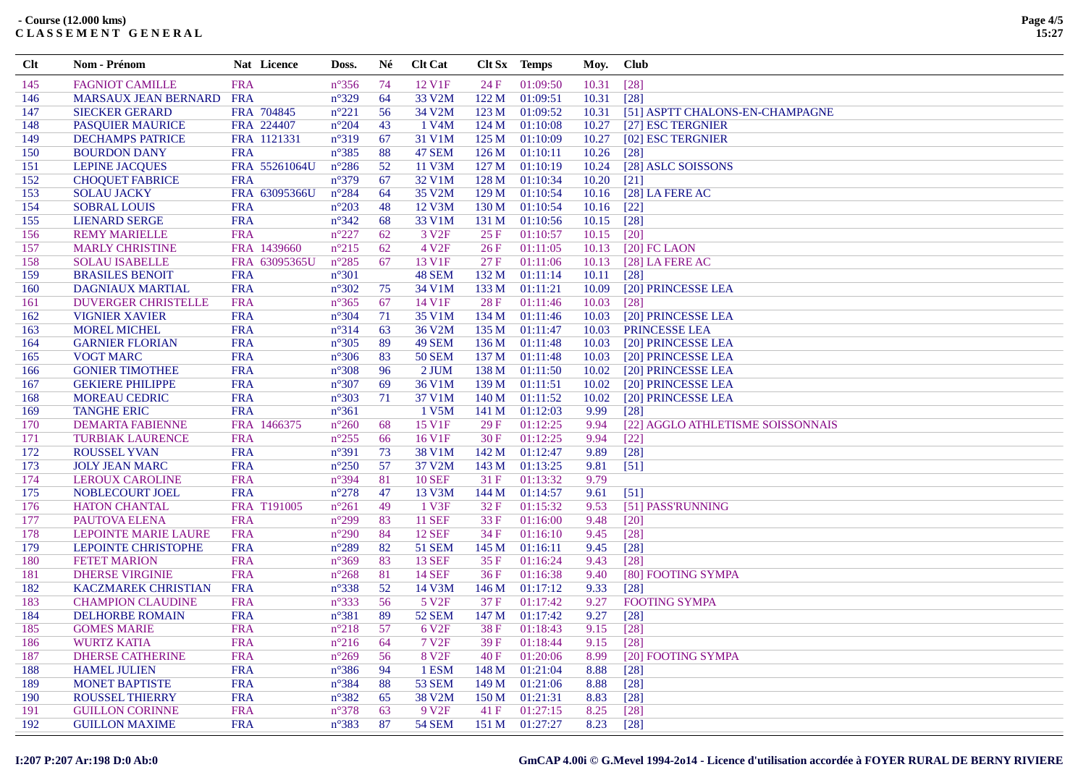| Clt | Nom - Prénom                | Nat Licence   | Doss.          | Né  | <b>Clt Cat</b>    |                  | Clt Sx Temps   | Moy.  | <b>Club</b>                       |
|-----|-----------------------------|---------------|----------------|-----|-------------------|------------------|----------------|-------|-----------------------------------|
| 145 | <b>FAGNIOT CAMILLE</b>      | <b>FRA</b>    | $n^{\circ}356$ | 74  | 12 V1F            | 24F              | 01:09:50       | 10.31 | $[28]$                            |
| 146 | <b>MARSAUX JEAN BERNARD</b> | <b>FRA</b>    | $n^{\circ}329$ | 64  | 33 V2M            | 122M             | 01:09:51       | 10.31 | $[28]$                            |
| 147 | <b>SIECKER GERARD</b>       | FRA 704845    | $n^{\circ}221$ | 56  | 34 V2M            | 123 M            | 01:09:52       | 10.31 | [51] ASPTT CHALONS-EN-CHAMPAGNE   |
| 148 | <b>PASQUIER MAURICE</b>     | FRA 224407    | $n^{\circ}204$ | 43  | 1 V4M             | 124M             | 01:10:08       | 10.27 | [27] ESC TERGNIER                 |
| 149 | <b>DECHAMPS PATRICE</b>     | FRA 1121331   | $n^{\circ}319$ | 67  | 31 V1M            | 125 M            | 01:10:09       | 10.27 | [02] ESC TERGNIER                 |
| 150 | <b>BOURDON DANY</b>         | <b>FRA</b>    | $n^{\circ}385$ | 88  | <b>47 SEM</b>     | 126M             | 01:10:11       | 10.26 | $[28]$                            |
| 151 | <b>LEPINE JACQUES</b>       | FRA 55261064U | $n^{\circ}286$ | 52  | 11 V3M            | 127 M            | 01:10:19       | 10.24 | [28] ASLC SOISSONS                |
| 152 | <b>CHOQUET FABRICE</b>      | <b>FRA</b>    | $n^{\circ}379$ | 67  | 32 V1M            | 128 M            | 01:10:34       | 10.20 | $[21]$                            |
| 153 | <b>SOLAU JACKY</b>          | FRA 63095366U | $n^{\circ}284$ | 64  | 35 V2M            | 129 <sub>M</sub> | 01:10:54       | 10.16 | [28] LA FERE AC                   |
| 154 | <b>SOBRAL LOUIS</b>         | <b>FRA</b>    | $n^{\circ}203$ | 48  | 12 V3M            | 130 M            | 01:10:54       | 10.16 | $[22]$                            |
| 155 | <b>LIENARD SERGE</b>        | <b>FRA</b>    | $n^{\circ}342$ | 68  | 33 V1M            | 131 M            | 01:10:56       | 10.15 | $[28]$                            |
| 156 | <b>REMY MARIELLE</b>        | <b>FRA</b>    | $n^{\circ}227$ | 62  | 3 V <sub>2F</sub> | 25 F             | 01:10:57       | 10.15 | $[20]$                            |
| 157 | <b>MARLY CHRISTINE</b>      | FRA 1439660   | $n^{\circ}215$ | 62  | 4 V <sub>2F</sub> | 26F              | 01:11:05       | 10.13 | $[20]$ FC LAON                    |
| 158 | <b>SOLAU ISABELLE</b>       | FRA 63095365U | $n^{\circ}285$ | 67  | 13 V1F            | 27F              | 01:11:06       | 10.13 | $[28]$ LA FERE AC                 |
| 159 | <b>BRASILES BENOIT</b>      | <b>FRA</b>    | $n^{\circ}301$ |     | <b>48 SEM</b>     | 132 M            | 01:11:14       | 10.11 | $[28]$                            |
| 160 | <b>DAGNIAUX MARTIAL</b>     | <b>FRA</b>    | $n^{\circ}302$ | 75  | 34 V1M            | 133 M            | 01:11:21       | 10.09 | [20] PRINCESSE LEA                |
| 161 | <b>DUVERGER CHRISTELLE</b>  | <b>FRA</b>    | $n^{\circ}365$ | 67  | 14 V1F            | 28 F             | 01:11:46       | 10.03 | $[28]$                            |
| 162 | <b>VIGNIER XAVIER</b>       | <b>FRA</b>    | $n^{\circ}304$ | 71  | 35 V1M            | 134M             | 01:11:46       | 10.03 | [20] PRINCESSE LEA                |
| 163 | <b>MOREL MICHEL</b>         | <b>FRA</b>    | $n^{\circ}314$ | 63  | 36 V2M            | 135 M            | 01:11:47       | 10.03 | PRINCESSE LEA                     |
| 164 | <b>GARNIER FLORIAN</b>      | <b>FRA</b>    | $n^{\circ}305$ | 89  | <b>49 SEM</b>     | 136 M            | 01:11:48       | 10.03 | [20] PRINCESSE LEA                |
| 165 | <b>VOGT MARC</b>            | <b>FRA</b>    | $n^{\circ}306$ | 83  | <b>50 SEM</b>     | 137 M            | 01:11:48       | 10.03 | [20] PRINCESSE LEA                |
| 166 | <b>GONIER TIMOTHEE</b>      | <b>FRA</b>    | $n^{\circ}308$ | 96  | $2$ JUM           | 138 M            | 01:11:50       | 10.02 | [20] PRINCESSE LEA                |
| 167 | <b>GEKIERE PHILIPPE</b>     | <b>FRA</b>    | $n^{\circ}307$ | 69  | 36 V1M            | 139 M            | 01:11:51       | 10.02 | [20] PRINCESSE LEA                |
| 168 | <b>MOREAU CEDRIC</b>        | <b>FRA</b>    | $n^{\circ}303$ | 71  | 37 V1M            | 140 M            | 01:11:52       | 10.02 | [20] PRINCESSE LEA                |
| 169 | <b>TANGHE ERIC</b>          | <b>FRA</b>    | $n^{\circ}361$ |     | 1 V5M             | 141 M            | 01:12:03       | 9.99  | $[28]$                            |
| 170 | <b>DEMARTA FABIENNE</b>     | FRA 1466375   | $n^{\circ}260$ | 68  | 15 V1F            | 29F              | 01:12:25       | 9.94  | [22] AGGLO ATHLETISME SOISSONNAIS |
| 171 | <b>TURBIAK LAURENCE</b>     | <b>FRA</b>    | $n^{\circ}255$ | 66  | 16 V1F            | 30F              | 01:12:25       | 9.94  | $[22]$                            |
| 172 | <b>ROUSSEL YVAN</b>         | <b>FRA</b>    | $n^{\circ}391$ | 73  | 38 V1M            | 142 M            | 01:12:47       | 9.89  | $[28]$                            |
| 173 | <b>JOLY JEAN MARC</b>       | <b>FRA</b>    | $n^{\circ}250$ | 57  | 37 V2M            | 143 M            | 01:13:25       | 9.81  | $[51]$                            |
| 174 | <b>LEROUX CAROLINE</b>      | <b>FRA</b>    | $n^{\circ}394$ | 81  | <b>10 SEF</b>     | 31 F             | 01:13:32       | 9.79  |                                   |
| 175 | NOBLECOURT JOEL             | <b>FRA</b>    | $n^{\circ}278$ | 47  | 13 V3M            | 144 M            | 01:14:57       | 9.61  | $[51]$                            |
| 176 | <b>HATON CHANTAL</b>        | FRA T191005   | $n^{\circ}261$ | 49  | 1 V3F             | 32F              | 01:15:32       | 9.53  | [51] PASS'RUNNING                 |
| 177 | PAUTOVA ELENA               | <b>FRA</b>    | $n^{\circ}299$ | 83  | <b>11 SEF</b>     | 33 F             | 01:16:00       | 9.48  | $[20]$                            |
| 178 | LEPOINTE MARIE LAURE        | <b>FRA</b>    | $n^{\circ}290$ | 84  | <b>12 SEF</b>     | 34 F             | 01:16:10       | 9.45  | $[28]$                            |
| 179 | LEPOINTE CHRISTOPHE         | <b>FRA</b>    | $n^{\circ}289$ | 82  | 51 SEM            | 145 M            | 01:16:11       | 9.45  | $[28]$                            |
| 180 | <b>FETET MARION</b>         | <b>FRA</b>    | $n^{\circ}369$ | 83  | <b>13 SEF</b>     | 35 F             | 01:16:24       | 9.43  | [28]                              |
| 181 | <b>DHERSE VIRGINIE</b>      | <b>FRA</b>    | $n^{\circ}268$ | 81  | <b>14 SEF</b>     | 36F              | 01:16:38       | 9.40  | [80] FOOTING SYMPA                |
| 182 | KACZMAREK CHRISTIAN         | <b>FRA</b>    | $n^{\circ}338$ | 52  | 14 V3M            | 146 M            | 01:17:12       | 9.33  | $[28]$                            |
| 183 | <b>CHAMPION CLAUDINE</b>    | <b>FRA</b>    | $n^{\circ}333$ | 56  | 5 V <sub>2F</sub> | 37 F             | 01:17:42       | 9.27  | <b>FOOTING SYMPA</b>              |
| 184 | <b>DELHORBE ROMAIN</b>      | <b>FRA</b>    | $n^{\circ}381$ | 89  | <b>52 SEM</b>     | 147 M            | 01:17:42       | 9.27  | $[28]$                            |
| 185 | <b>GOMES MARIE</b>          | <b>FRA</b>    | $n^{\circ}218$ | 57  | 6 V <sub>2F</sub> | 38F              | 01:18:43       | 9.15  | $[28]$                            |
| 186 | <b>WURTZ KATIA</b>          | <b>FRA</b>    | $n^{\circ}216$ | -64 | 7 V <sub>2F</sub> | 39F              | 01:18:44       | 9.15  | $[28]$                            |
| 187 | <b>DHERSE CATHERINE</b>     | <b>FRA</b>    | $n^{\circ}269$ | 56  | 8 V <sub>2F</sub> | 40F              | 01:20:06       | 8.99  | [20] FOOTING SYMPA                |
| 188 | <b>HAMEL JULIEN</b>         | <b>FRA</b>    | $n^{\circ}386$ | 94  | 1 ESM             | 148 M            | 01:21:04       | 8.88  | $[28]$                            |
| 189 | <b>MONET BAPTISTE</b>       | <b>FRA</b>    | $n^{\circ}384$ | 88  | <b>53 SEM</b>     | 149 M            | 01:21:06       | 8.88  | $[28]$                            |
| 190 | <b>ROUSSEL THIERRY</b>      | <b>FRA</b>    | $n^{\circ}382$ | 65  | 38 V2M            | 150 M            | 01:21:31       | 8.83  | $[28]$                            |
| 191 | <b>GUILLON CORINNE</b>      | <b>FRA</b>    | $n^{\circ}378$ | 63  | 9 V <sub>2F</sub> | 41 F             | 01:27:15       | 8.25  | $[28]$                            |
| 192 | <b>GUILLON MAXIME</b>       | <b>FRA</b>    | $n^{\circ}383$ | 87  | <b>54 SEM</b>     |                  | 151 M 01:27:27 | 8.23  | $[28]$                            |